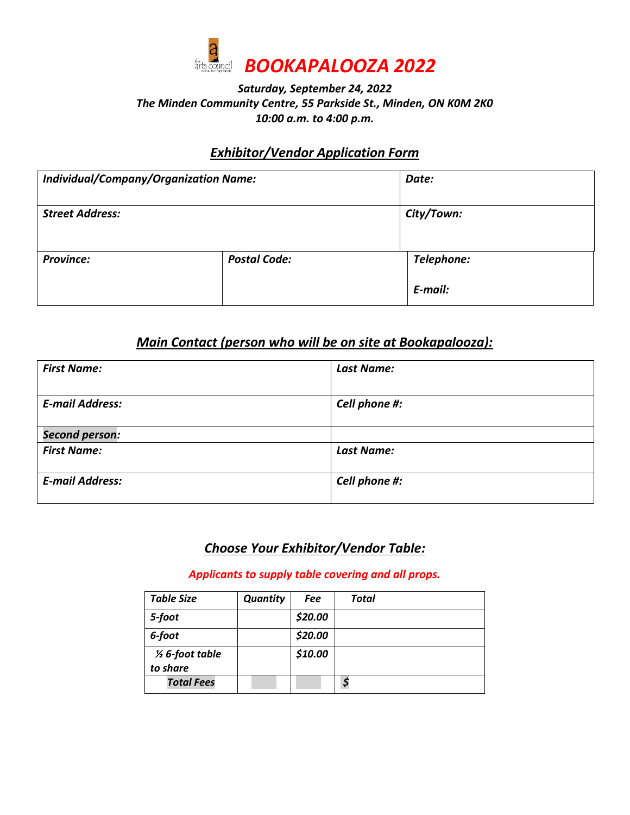

### *Saturday, September 24, 2022 The Minden Community Centre, 55 Parkside St., Minden, ON K0M 2K0 10:00 a.m. to 4:00 p.m.*

## *Exhibitor/Vendor Application Form*

| <b>Individual/Company/Organization Name:</b> |                     | Date:                 |
|----------------------------------------------|---------------------|-----------------------|
| <b>Street Address:</b>                       |                     | City/Town:            |
| <b>Province:</b>                             | <b>Postal Code:</b> | Telephone:<br>E-mail: |

## *Main Contact (person who will be on site at Bookapalooza):*

| <b>First Name:</b>                          | <b>Last Name:</b> |
|---------------------------------------------|-------------------|
| <b>E-mail Address:</b>                      | Cell phone #:     |
| <b>Second person:</b><br><b>First Name:</b> | <b>Last Name:</b> |
| <b>E-mail Address:</b>                      | Cell phone #:     |

# *Choose Your Exhibitor/Vendor Table:*

*Applicants to supply table covering and all props.*

| <b>Table Size</b>                      | <b>Quantity</b> | Fee     | Total |
|----------------------------------------|-----------------|---------|-------|
| 5-foot                                 |                 | \$20.00 |       |
| 6-foot                                 |                 | \$20.00 |       |
| $\frac{1}{2}$ 6-foot table<br>to share |                 | \$10.00 |       |
| <b>Total Fees</b>                      |                 |         | \$    |